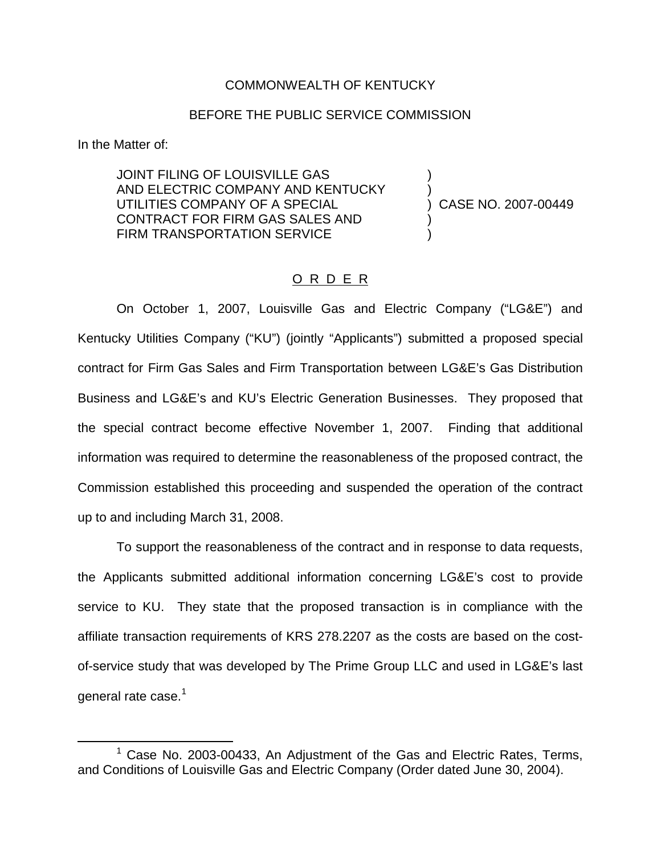## COMMONWEALTH OF KENTUCKY

## BEFORE THE PUBLIC SERVICE COMMISSION

In the Matter of:

JOINT FILING OF LOUISVILLE GAS ) AND ELECTRIC COMPANY AND KENTUCKY ) UTILITIES COMPANY OF A SPECIAL  $\overrightarrow{)}$  CASE NO. 2007-00449 CONTRACT FOR FIRM GAS SALES AND ) FIRM TRANSPORTATION SERVICE

## O R D E R

On October 1, 2007, Louisville Gas and Electric Company ("LG&E") and Kentucky Utilities Company ("KU") (jointly "Applicants") submitted a proposed special contract for Firm Gas Sales and Firm Transportation between LG&E's Gas Distribution Business and LG&E's and KU's Electric Generation Businesses. They proposed that the special contract become effective November 1, 2007. Finding that additional information was required to determine the reasonableness of the proposed contract, the Commission established this proceeding and suspended the operation of the contract up to and including March 31, 2008.

To support the reasonableness of the contract and in response to data requests, the Applicants submitted additional information concerning LG&E's cost to provide service to KU. They state that the proposed transaction is in compliance with the affiliate transaction requirements of KRS 278.2207 as the costs are based on the costof-service study that was developed by The Prime Group LLC and used in LG&E's last general rate case.<sup>1</sup>

 $1$  Case No. 2003-00433, An Adiustment of the Gas and Electric Rates, Terms, and Conditions of Louisville Gas and Electric Company (Order dated June 30, 2004).